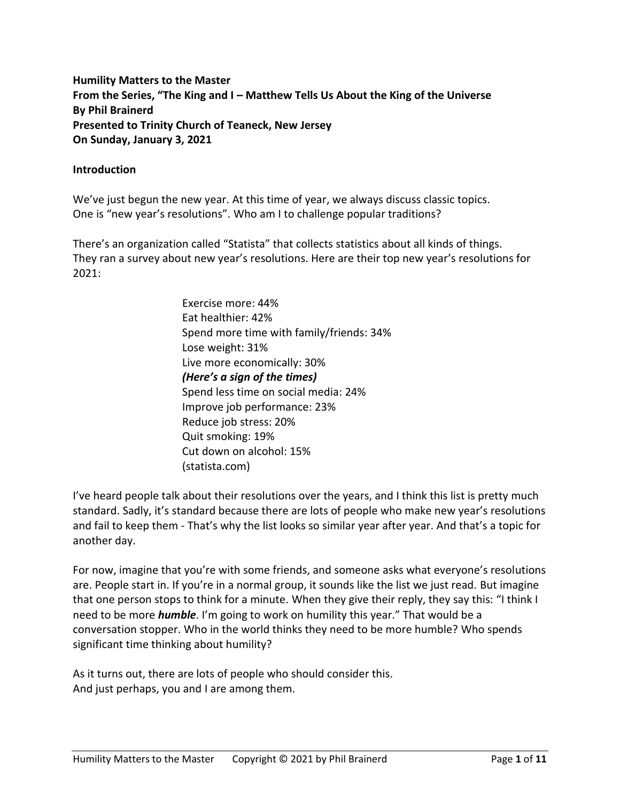**Humility Matters to the Master From the Series, "The King and I – Matthew Tells Us About the King of the Universe By Phil Brainerd Presented to Trinity Church of Teaneck, New Jersey On Sunday, January 3, 2021**

#### **Introduction**

We've just begun the new year. At this time of year, we always discuss classic topics. One is "new year's resolutions". Who am I to challenge popular traditions?

There's an organization called "Statista" that collects statistics about all kinds of things. They ran a survey about new year's resolutions. Here are their top new year's resolutions for 2021:

> Exercise more: 44% Eat healthier: 42% Spend more time with family/friends: 34% Lose weight: 31% Live more economically: 30% *(Here's a sign of the times)* Spend less time on social media: 24% Improve job performance: 23% Reduce job stress: 20% Quit smoking: 19% Cut down on alcohol: 15% (statista.com)

I've heard people talk about their resolutions over the years, and I think this list is pretty much standard. Sadly, it's standard because there are lots of people who make new year's resolutions and fail to keep them - That's why the list looks so similar year after year. And that's a topic for another day.

For now, imagine that you're with some friends, and someone asks what everyone's resolutions are. People start in. If you're in a normal group, it sounds like the list we just read. But imagine that one person stops to think for a minute. When they give their reply, they say this: "I think I need to be more *humble*. I'm going to work on humility this year." That would be a conversation stopper. Who in the world thinks they need to be more humble? Who spends significant time thinking about humility?

As it turns out, there are lots of people who should consider this. And just perhaps, you and I are among them.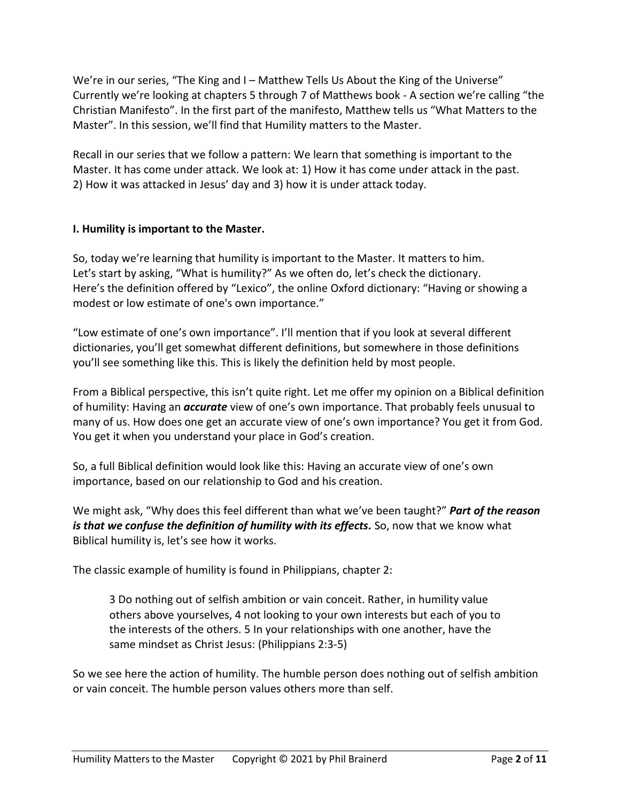We're in our series, "The King and I – Matthew Tells Us About the King of the Universe" Currently we're looking at chapters 5 through 7 of Matthews book - A section we're calling "the Christian Manifesto". In the first part of the manifesto, Matthew tells us "What Matters to the Master". In this session, we'll find that Humility matters to the Master.

Recall in our series that we follow a pattern: We learn that something is important to the Master. It has come under attack. We look at: 1) How it has come under attack in the past. 2) How it was attacked in Jesus' day and 3) how it is under attack today.

# **I. Humility is important to the Master.**

So, today we're learning that humility is important to the Master. It matters to him. Let's start by asking, "What is humility?" As we often do, let's check the dictionary. Here's the definition offered by "Lexico", the online Oxford dictionary: "Having or showing a modest or low estimate of one's own importance."

"Low estimate of one's own importance". I'll mention that if you look at several different dictionaries, you'll get somewhat different definitions, but somewhere in those definitions you'll see something like this. This is likely the definition held by most people.

From a Biblical perspective, this isn't quite right. Let me offer my opinion on a Biblical definition of humility: Having an *accurate* view of one's own importance. That probably feels unusual to many of us. How does one get an accurate view of one's own importance? You get it from God. You get it when you understand your place in God's creation.

So, a full Biblical definition would look like this: Having an accurate view of one's own importance, based on our relationship to God and his creation.

We might ask, "Why does this feel different than what we've been taught?" *Part of the reason*  is that we confuse the definition of humility with its effects. So, now that we know what Biblical humility is, let's see how it works.

The classic example of humility is found in Philippians, chapter 2:

3 Do nothing out of selfish ambition or vain conceit. Rather, in humility value others above yourselves, 4 not looking to your own interests but each of you to the interests of the others. 5 In your relationships with one another, have the same mindset as Christ Jesus: (Philippians 2:3-5)

So we see here the action of humility. The humble person does nothing out of selfish ambition or vain conceit. The humble person values others more than self.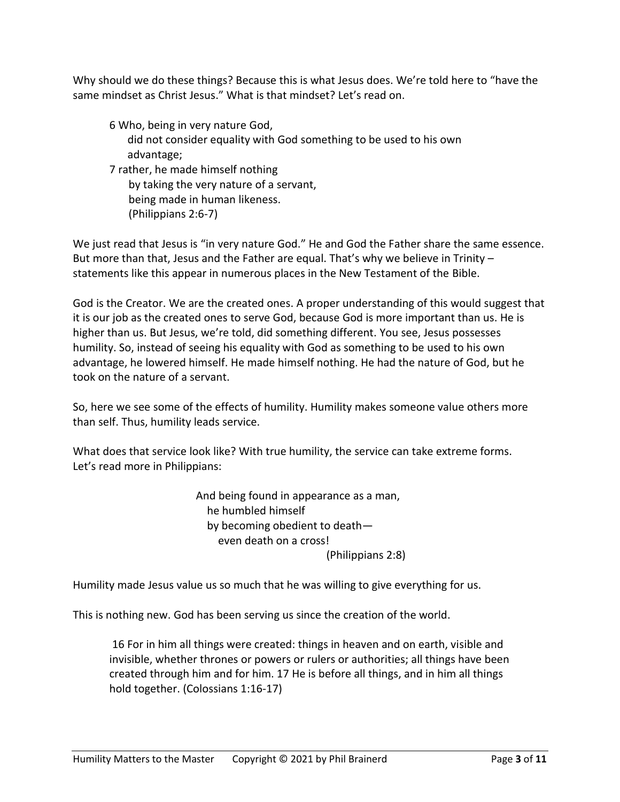Why should we do these things? Because this is what Jesus does. We're told here to "have the same mindset as Christ Jesus." What is that mindset? Let's read on.

6 Who, being in very nature God, did not consider equality with God something to be used to his own advantage;

7 rather, he made himself nothing by taking the very nature of a servant, being made in human likeness. (Philippians 2:6-7)

We just read that Jesus is "in very nature God." He and God the Father share the same essence. But more than that, Jesus and the Father are equal. That's why we believe in Trinity – statements like this appear in numerous places in the New Testament of the Bible.

God is the Creator. We are the created ones. A proper understanding of this would suggest that it is our job as the created ones to serve God, because God is more important than us. He is higher than us. But Jesus, we're told, did something different. You see, Jesus possesses humility. So, instead of seeing his equality with God as something to be used to his own advantage, he lowered himself. He made himself nothing. He had the nature of God, but he took on the nature of a servant.

So, here we see some of the effects of humility. Humility makes someone value others more than self. Thus, humility leads service.

What does that service look like? With true humility, the service can take extreme forms. Let's read more in Philippians:

> And being found in appearance as a man, he humbled himself by becoming obedient to death even death on a cross! (Philippians 2:8)

Humility made Jesus value us so much that he was willing to give everything for us.

This is nothing new. God has been serving us since the creation of the world.

16 For in him all things were created: things in heaven and on earth, visible and invisible, whether thrones or powers or rulers or authorities; all things have been created through him and for him. 17 He is before all things, and in him all things hold together. (Colossians 1:16-17)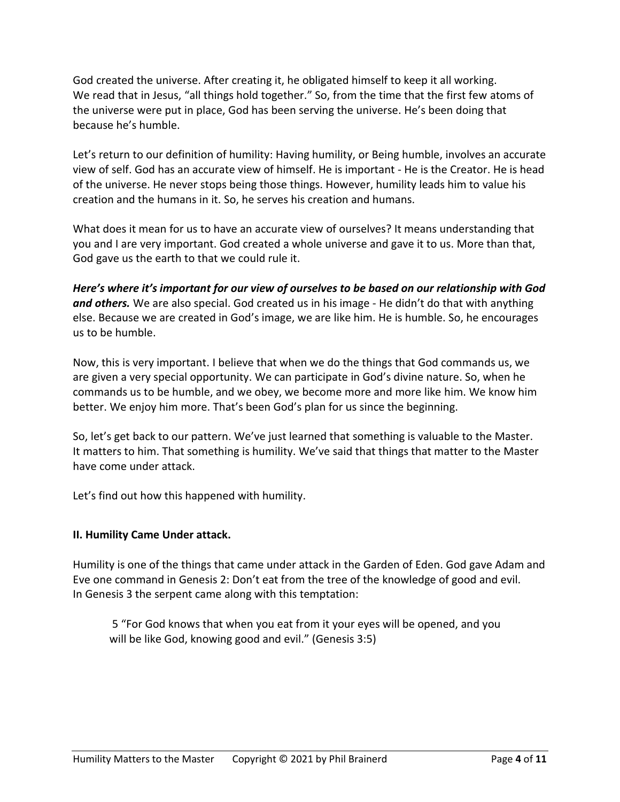God created the universe. After creating it, he obligated himself to keep it all working. We read that in Jesus, "all things hold together." So, from the time that the first few atoms of the universe were put in place, God has been serving the universe. He's been doing that because he's humble.

Let's return to our definition of humility: Having humility, or Being humble, involves an accurate view of self. God has an accurate view of himself. He is important - He is the Creator. He is head of the universe. He never stops being those things. However, humility leads him to value his creation and the humans in it. So, he serves his creation and humans.

What does it mean for us to have an accurate view of ourselves? It means understanding that you and I are very important. God created a whole universe and gave it to us. More than that, God gave us the earth to that we could rule it.

*Here's where it's important for our view of ourselves to be based on our relationship with God and others.* We are also special. God created us in his image - He didn't do that with anything else. Because we are created in God's image, we are like him. He is humble. So, he encourages us to be humble.

Now, this is very important. I believe that when we do the things that God commands us, we are given a very special opportunity. We can participate in God's divine nature. So, when he commands us to be humble, and we obey, we become more and more like him. We know him better. We enjoy him more. That's been God's plan for us since the beginning.

So, let's get back to our pattern. We've just learned that something is valuable to the Master. It matters to him. That something is humility. We've said that things that matter to the Master have come under attack.

Let's find out how this happened with humility.

# **II. Humility Came Under attack.**

Humility is one of the things that came under attack in the Garden of Eden. God gave Adam and Eve one command in Genesis 2: Don't eat from the tree of the knowledge of good and evil. In Genesis 3 the serpent came along with this temptation:

5 "For God knows that when you eat from it your eyes will be opened, and you will be like God, knowing good and evil." (Genesis 3:5)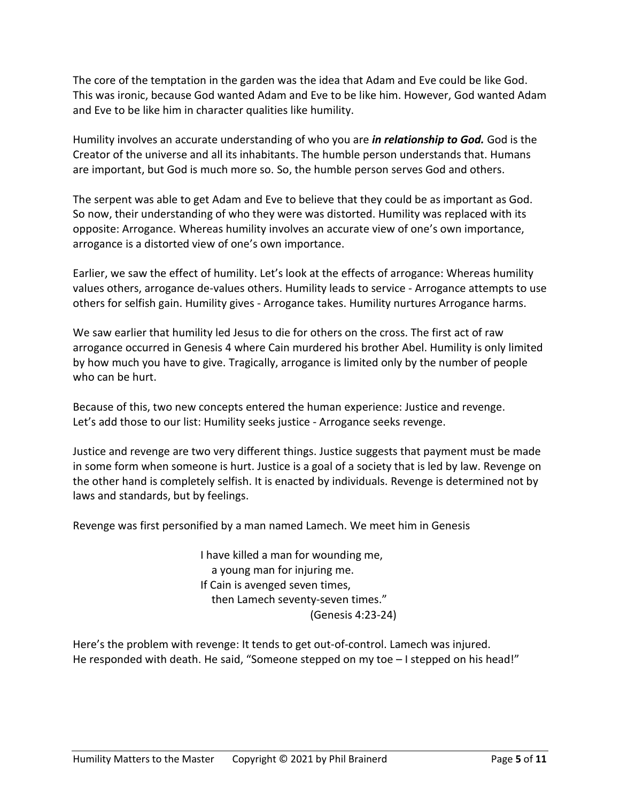The core of the temptation in the garden was the idea that Adam and Eve could be like God. This was ironic, because God wanted Adam and Eve to be like him. However, God wanted Adam and Eve to be like him in character qualities like humility.

Humility involves an accurate understanding of who you are *in relationship to God.* God is the Creator of the universe and all its inhabitants. The humble person understands that. Humans are important, but God is much more so. So, the humble person serves God and others.

The serpent was able to get Adam and Eve to believe that they could be as important as God. So now, their understanding of who they were was distorted. Humility was replaced with its opposite: Arrogance. Whereas humility involves an accurate view of one's own importance, arrogance is a distorted view of one's own importance.

Earlier, we saw the effect of humility. Let's look at the effects of arrogance: Whereas humility values others, arrogance de-values others. Humility leads to service - Arrogance attempts to use others for selfish gain. Humility gives - Arrogance takes. Humility nurtures Arrogance harms.

We saw earlier that humility led Jesus to die for others on the cross. The first act of raw arrogance occurred in Genesis 4 where Cain murdered his brother Abel. Humility is only limited by how much you have to give. Tragically, arrogance is limited only by the number of people who can be hurt.

Because of this, two new concepts entered the human experience: Justice and revenge. Let's add those to our list: Humility seeks justice - Arrogance seeks revenge.

Justice and revenge are two very different things. Justice suggests that payment must be made in some form when someone is hurt. Justice is a goal of a society that is led by law. Revenge on the other hand is completely selfish. It is enacted by individuals. Revenge is determined not by laws and standards, but by feelings.

Revenge was first personified by a man named Lamech. We meet him in Genesis

I have killed a man for wounding me, a young man for injuring me. If Cain is avenged seven times, then Lamech seventy-seven times." (Genesis 4:23-24)

Here's the problem with revenge: It tends to get out-of-control. Lamech was injured. He responded with death. He said, "Someone stepped on my toe - I stepped on his head!"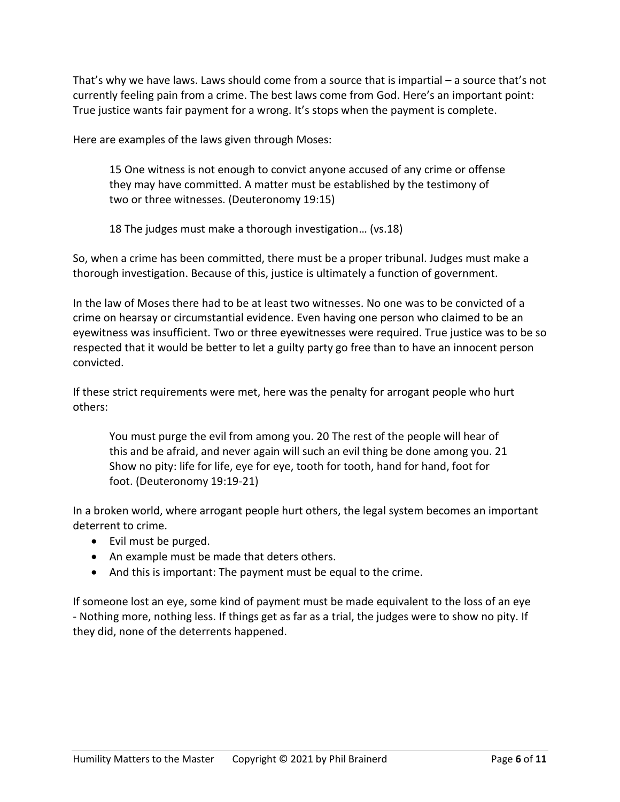That's why we have laws. Laws should come from a source that is impartial – a source that's not currently feeling pain from a crime. The best laws come from God. Here's an important point: True justice wants fair payment for a wrong. It's stops when the payment is complete.

Here are examples of the laws given through Moses:

15 One witness is not enough to convict anyone accused of any crime or offense they may have committed. A matter must be established by the testimony of two or three witnesses. (Deuteronomy 19:15)

18 The judges must make a thorough investigation… (vs.18)

So, when a crime has been committed, there must be a proper tribunal. Judges must make a thorough investigation. Because of this, justice is ultimately a function of government.

In the law of Moses there had to be at least two witnesses. No one was to be convicted of a crime on hearsay or circumstantial evidence. Even having one person who claimed to be an eyewitness was insufficient. Two or three eyewitnesses were required. True justice was to be so respected that it would be better to let a guilty party go free than to have an innocent person convicted.

If these strict requirements were met, here was the penalty for arrogant people who hurt others:

You must purge the evil from among you. 20 The rest of the people will hear of this and be afraid, and never again will such an evil thing be done among you. 21 Show no pity: life for life, eye for eye, tooth for tooth, hand for hand, foot for foot. (Deuteronomy 19:19-21)

In a broken world, where arrogant people hurt others, the legal system becomes an important deterrent to crime.

- Evil must be purged.
- An example must be made that deters others.
- And this is important: The payment must be equal to the crime.

If someone lost an eye, some kind of payment must be made equivalent to the loss of an eye - Nothing more, nothing less. If things get as far as a trial, the judges were to show no pity. If they did, none of the deterrents happened.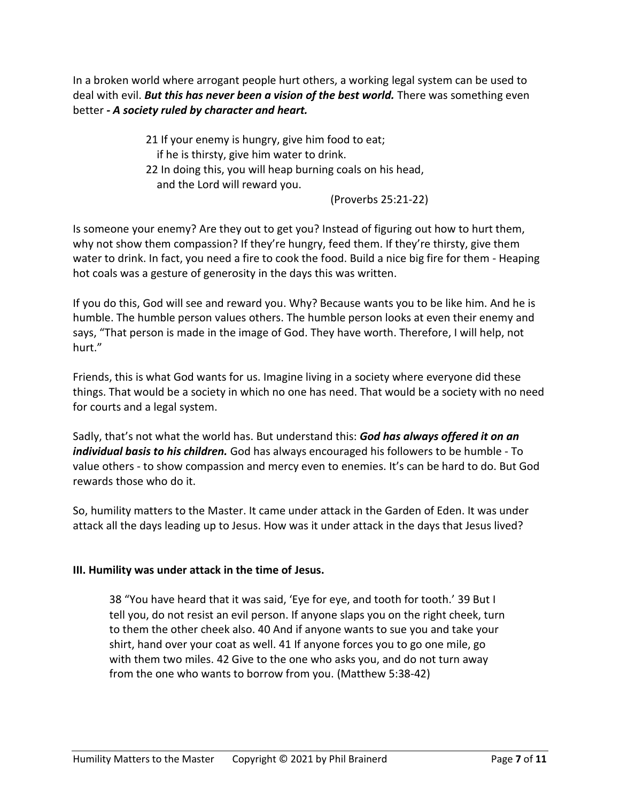In a broken world where arrogant people hurt others, a working legal system can be used to deal with evil. *But this has never been a vision of the best world.* There was something even better *- A society ruled by character and heart.*

> 21 If your enemy is hungry, give him food to eat; if he is thirsty, give him water to drink. 22 In doing this, you will heap burning coals on his head, and the Lord will reward you.

(Proverbs 25:21-22)

Is someone your enemy? Are they out to get you? Instead of figuring out how to hurt them, why not show them compassion? If they're hungry, feed them. If they're thirsty, give them water to drink. In fact, you need a fire to cook the food. Build a nice big fire for them - Heaping hot coals was a gesture of generosity in the days this was written.

If you do this, God will see and reward you. Why? Because wants you to be like him. And he is humble. The humble person values others. The humble person looks at even their enemy and says, "That person is made in the image of God. They have worth. Therefore, I will help, not hurt."

Friends, this is what God wants for us. Imagine living in a society where everyone did these things. That would be a society in which no one has need. That would be a society with no need for courts and a legal system.

Sadly, that's not what the world has. But understand this: *God has always offered it on an individual basis to his children.* God has always encouraged his followers to be humble - To value others - to show compassion and mercy even to enemies. It's can be hard to do. But God rewards those who do it.

So, humility matters to the Master. It came under attack in the Garden of Eden. It was under attack all the days leading up to Jesus. How was it under attack in the days that Jesus lived?

# **III. Humility was under attack in the time of Jesus.**

38 "You have heard that it was said, 'Eye for eye, and tooth for tooth.' 39 But I tell you, do not resist an evil person. If anyone slaps you on the right cheek, turn to them the other cheek also. 40 And if anyone wants to sue you and take your shirt, hand over your coat as well. 41 If anyone forces you to go one mile, go with them two miles. 42 Give to the one who asks you, and do not turn away from the one who wants to borrow from you. (Matthew 5:38-42)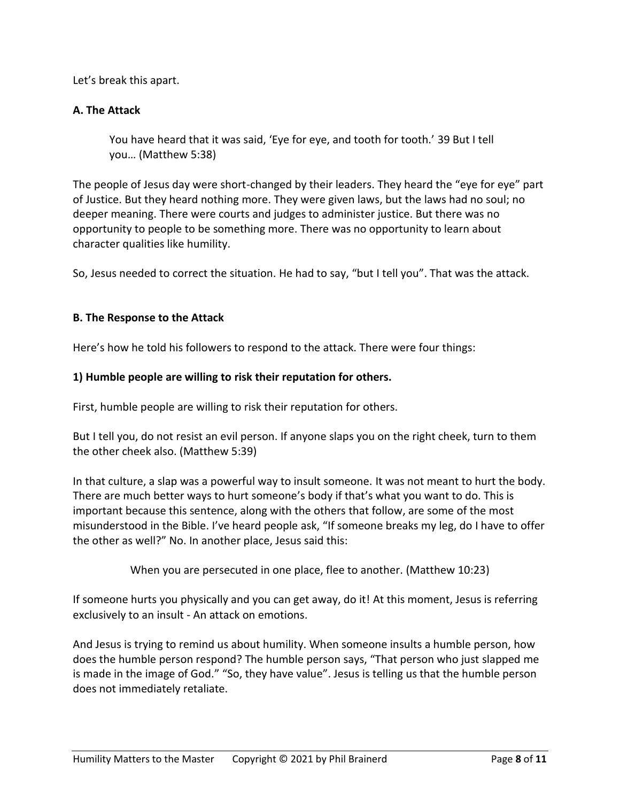Let's break this apart.

### **A. The Attack**

You have heard that it was said, 'Eye for eye, and tooth for tooth.' 39 But I tell you… (Matthew 5:38)

The people of Jesus day were short-changed by their leaders. They heard the "eye for eye" part of Justice. But they heard nothing more. They were given laws, but the laws had no soul; no deeper meaning. There were courts and judges to administer justice. But there was no opportunity to people to be something more. There was no opportunity to learn about character qualities like humility.

So, Jesus needed to correct the situation. He had to say, "but I tell you". That was the attack.

### **B. The Response to the Attack**

Here's how he told his followers to respond to the attack. There were four things:

#### **1) Humble people are willing to risk their reputation for others.**

First, humble people are willing to risk their reputation for others.

But I tell you, do not resist an evil person. If anyone slaps you on the right cheek, turn to them the other cheek also. (Matthew 5:39)

In that culture, a slap was a powerful way to insult someone. It was not meant to hurt the body. There are much better ways to hurt someone's body if that's what you want to do. This is important because this sentence, along with the others that follow, are some of the most misunderstood in the Bible. I've heard people ask, "If someone breaks my leg, do I have to offer the other as well?" No. In another place, Jesus said this:

When you are persecuted in one place, flee to another. (Matthew 10:23)

If someone hurts you physically and you can get away, do it! At this moment, Jesus is referring exclusively to an insult - An attack on emotions.

And Jesus is trying to remind us about humility. When someone insults a humble person, how does the humble person respond? The humble person says, "That person who just slapped me is made in the image of God." "So, they have value". Jesus is telling us that the humble person does not immediately retaliate.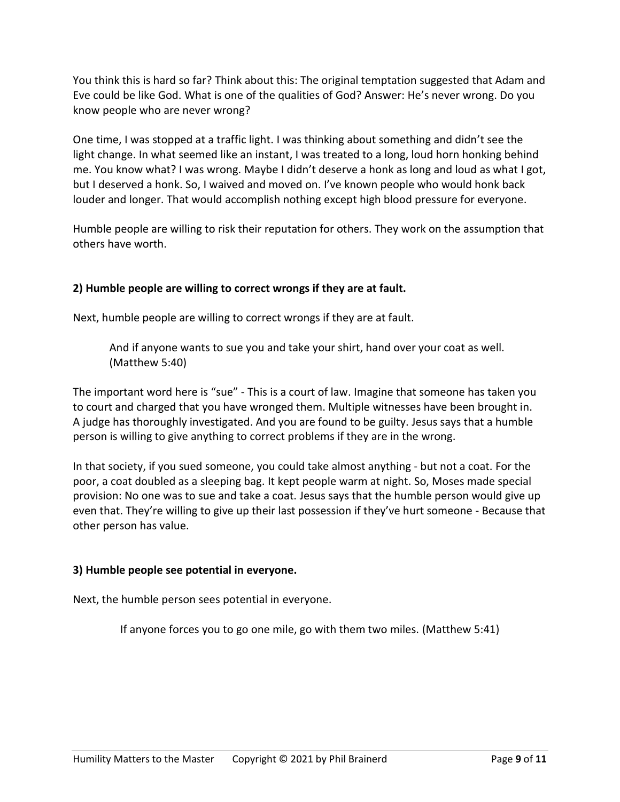You think this is hard so far? Think about this: The original temptation suggested that Adam and Eve could be like God. What is one of the qualities of God? Answer: He's never wrong. Do you know people who are never wrong?

One time, I was stopped at a traffic light. I was thinking about something and didn't see the light change. In what seemed like an instant, I was treated to a long, loud horn honking behind me. You know what? I was wrong. Maybe I didn't deserve a honk as long and loud as what I got, but I deserved a honk. So, I waived and moved on. I've known people who would honk back louder and longer. That would accomplish nothing except high blood pressure for everyone.

Humble people are willing to risk their reputation for others. They work on the assumption that others have worth.

# **2) Humble people are willing to correct wrongs if they are at fault.**

Next, humble people are willing to correct wrongs if they are at fault.

And if anyone wants to sue you and take your shirt, hand over your coat as well. (Matthew 5:40)

The important word here is "sue" - This is a court of law. Imagine that someone has taken you to court and charged that you have wronged them. Multiple witnesses have been brought in. A judge has thoroughly investigated. And you are found to be guilty. Jesus says that a humble person is willing to give anything to correct problems if they are in the wrong.

In that society, if you sued someone, you could take almost anything - but not a coat. For the poor, a coat doubled as a sleeping bag. It kept people warm at night. So, Moses made special provision: No one was to sue and take a coat. Jesus says that the humble person would give up even that. They're willing to give up their last possession if they've hurt someone - Because that other person has value.

# **3) Humble people see potential in everyone.**

Next, the humble person sees potential in everyone.

If anyone forces you to go one mile, go with them two miles. (Matthew 5:41)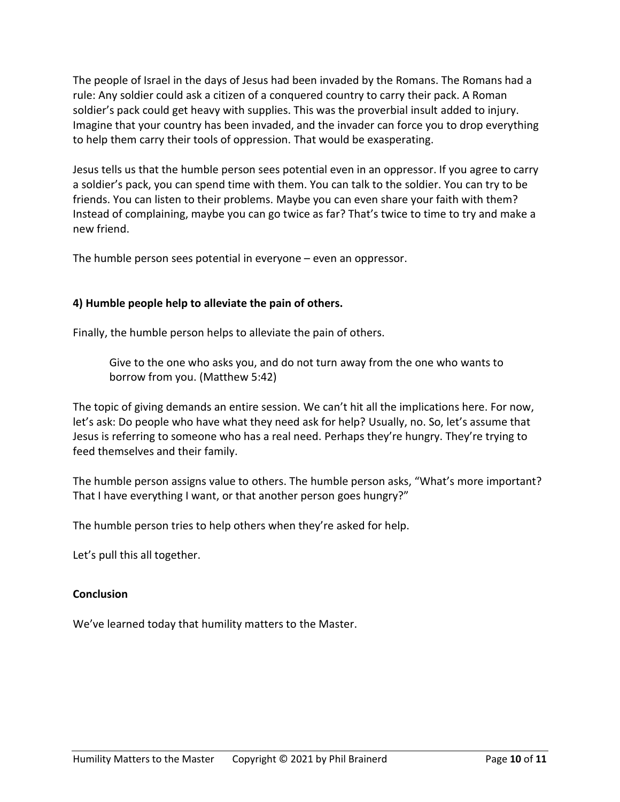The people of Israel in the days of Jesus had been invaded by the Romans. The Romans had a rule: Any soldier could ask a citizen of a conquered country to carry their pack. A Roman soldier's pack could get heavy with supplies. This was the proverbial insult added to injury. Imagine that your country has been invaded, and the invader can force you to drop everything to help them carry their tools of oppression. That would be exasperating.

Jesus tells us that the humble person sees potential even in an oppressor. If you agree to carry a soldier's pack, you can spend time with them. You can talk to the soldier. You can try to be friends. You can listen to their problems. Maybe you can even share your faith with them? Instead of complaining, maybe you can go twice as far? That's twice to time to try and make a new friend.

The humble person sees potential in everyone – even an oppressor.

# **4) Humble people help to alleviate the pain of others.**

Finally, the humble person helps to alleviate the pain of others.

Give to the one who asks you, and do not turn away from the one who wants to borrow from you. (Matthew 5:42)

The topic of giving demands an entire session. We can't hit all the implications here. For now, let's ask: Do people who have what they need ask for help? Usually, no. So, let's assume that Jesus is referring to someone who has a real need. Perhaps they're hungry. They're trying to feed themselves and their family.

The humble person assigns value to others. The humble person asks, "What's more important? That I have everything I want, or that another person goes hungry?"

The humble person tries to help others when they're asked for help.

Let's pull this all together.

#### **Conclusion**

We've learned today that humility matters to the Master.